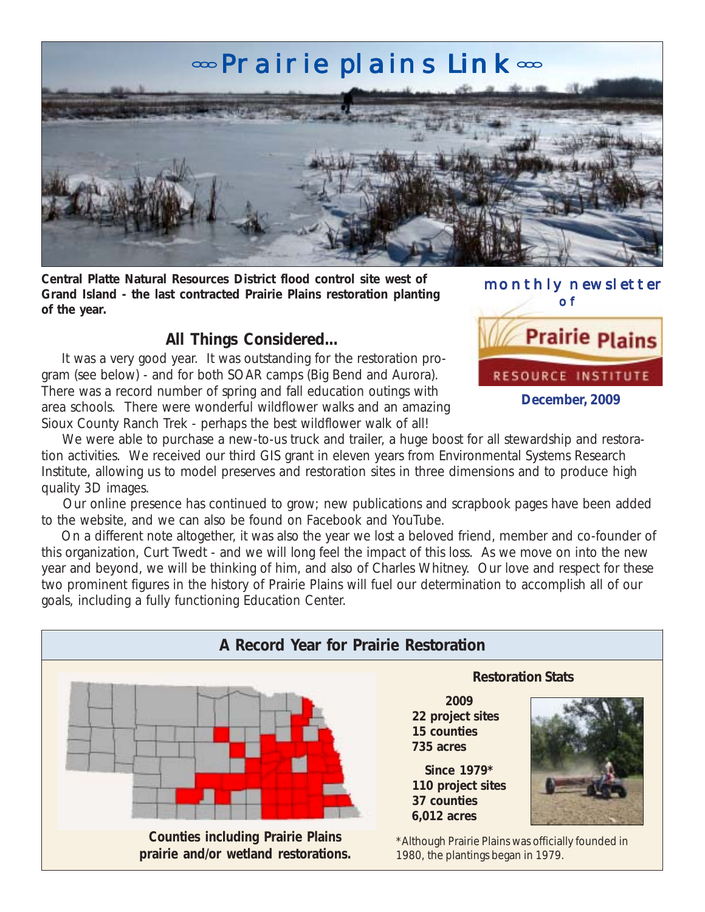# **«Prairie plains Link**



**Central Platte Natural Resources District flood control site west of Grand Island - the last contracted Prairie Plains restoration planting of the year.**

## **All Things Considered...**

 It was a very good year. It was outstanding for the restoration program (see below) - and for both SOAR camps (Big Bend and Aurora). There was a record number of spring and fall education outings with area schools. There were wonderful wildflower walks and an amazing Sioux County Ranch Trek - perhaps the best wildflower walk of all!

 monthly newsletter of

**Prairie Plains** RESOURCE INSTITUTE **December, 2009**

We were able to purchase a new-to-us truck and trailer, a huge boost for all stewardship and restoration activities. We received our third GIS grant in eleven years from Environmental Systems Research Institute, allowing us to model preserves and restoration sites in three dimensions and to produce high quality 3D images.

 Our online presence has continued to grow; new publications and scrapbook pages have been added to the website, and we can also be found on Facebook and YouTube.

 On a different note altogether, it was also the year we lost a beloved friend, member and co-founder of this organization, Curt Twedt - and we will long feel the impact of this loss. As we move on into the new year and beyond, we will be thinking of him, and also of Charles Whitney. Our love and respect for these two prominent figures in the history of Prairie Plains will fuel our determination to accomplish all of our goals, including a fully functioning Education Center.